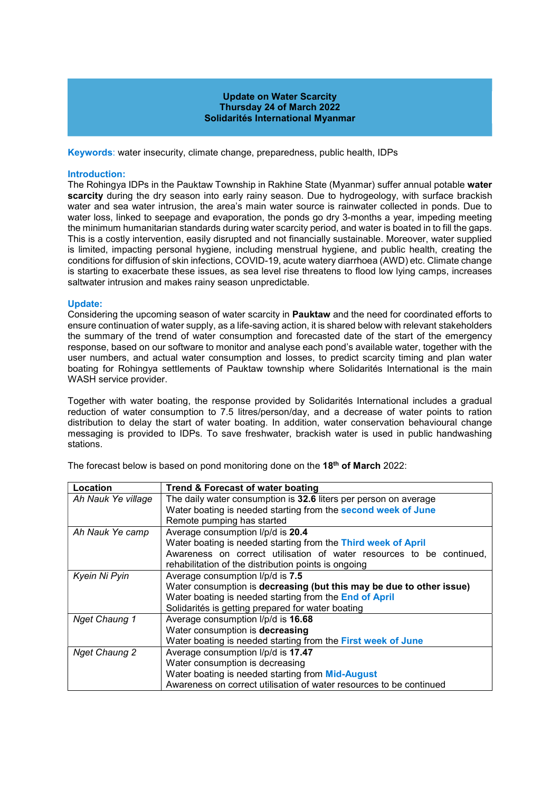## Update on Water Scarcity Thursday 24 of March 2022 Solidarités International Myanmar

Keywords: water insecurity, climate change, preparedness, public health, IDPs

### Introduction:

The Rohingya IDPs in the Pauktaw Township in Rakhine State (Myanmar) suffer annual potable water scarcity during the dry season into early rainy season. Due to hydrogeology, with surface brackish water and sea water intrusion, the area's main water source is rainwater collected in ponds. Due to water loss, linked to seepage and evaporation, the ponds go dry 3-months a year, impeding meeting the minimum humanitarian standards during water scarcity period, and water is boated in to fill the gaps. This is a costly intervention, easily disrupted and not financially sustainable. Moreover, water supplied is limited, impacting personal hygiene, including menstrual hygiene, and public health, creating the conditions for diffusion of skin infections, COVID-19, acute watery diarrhoea (AWD) etc. Climate change is starting to exacerbate these issues, as sea level rise threatens to flood low lying camps, increases saltwater intrusion and makes rainy season unpredictable.

#### Update:

Considering the upcoming season of water scarcity in Pauktaw and the need for coordinated efforts to ensure continuation of water supply, as a life-saving action, it is shared below with relevant stakeholders the summary of the trend of water consumption and forecasted date of the start of the emergency response, based on our software to monitor and analyse each pond's available water, together with the user numbers, and actual water consumption and losses, to predict scarcity timing and plan water boating for Rohingya settlements of Pauktaw township where Solidarités International is the main WASH service provider.

Together with water boating, the response provided by Solidarités International includes a gradual reduction of water consumption to 7.5 litres/person/day, and a decrease of water points to ration distribution to delay the start of water boating. In addition, water conservation behavioural change messaging is provided to IDPs. To save freshwater, brackish water is used in public handwashing stations.

| Location             | Trend & Forecast of water boating                                    |
|----------------------|----------------------------------------------------------------------|
| Ah Nauk Ye village   | The daily water consumption is 32.6 liters per person on average     |
|                      | Water boating is needed starting from the second week of June        |
|                      | Remote pumping has started                                           |
| Ah Nauk Ye camp      | Average consumption I/p/d is 20.4                                    |
|                      | Water boating is needed starting from the Third week of April        |
|                      | Awareness on correct utilisation of water resources to be continued. |
|                      | rehabilitation of the distribution points is ongoing                 |
| Kyein Ni Pyin        | Average consumption I/p/d is 7.5                                     |
|                      | Water consumption is decreasing (but this may be due to other issue) |
|                      | Water boating is needed starting from the End of April               |
|                      | Solidarités is getting prepared for water boating                    |
| Nget Chaung 1        | Average consumption I/p/d is 16.68                                   |
|                      | Water consumption is decreasing                                      |
|                      | Water boating is needed starting from the First week of June         |
| <b>Nget Chaung 2</b> | Average consumption I/p/d is 17.47                                   |
|                      | Water consumption is decreasing                                      |
|                      | Water boating is needed starting from Mid-August                     |
|                      | Awareness on correct utilisation of water resources to be continued  |

The forecast below is based on pond monitoring done on the 18<sup>th</sup> of March 2022: